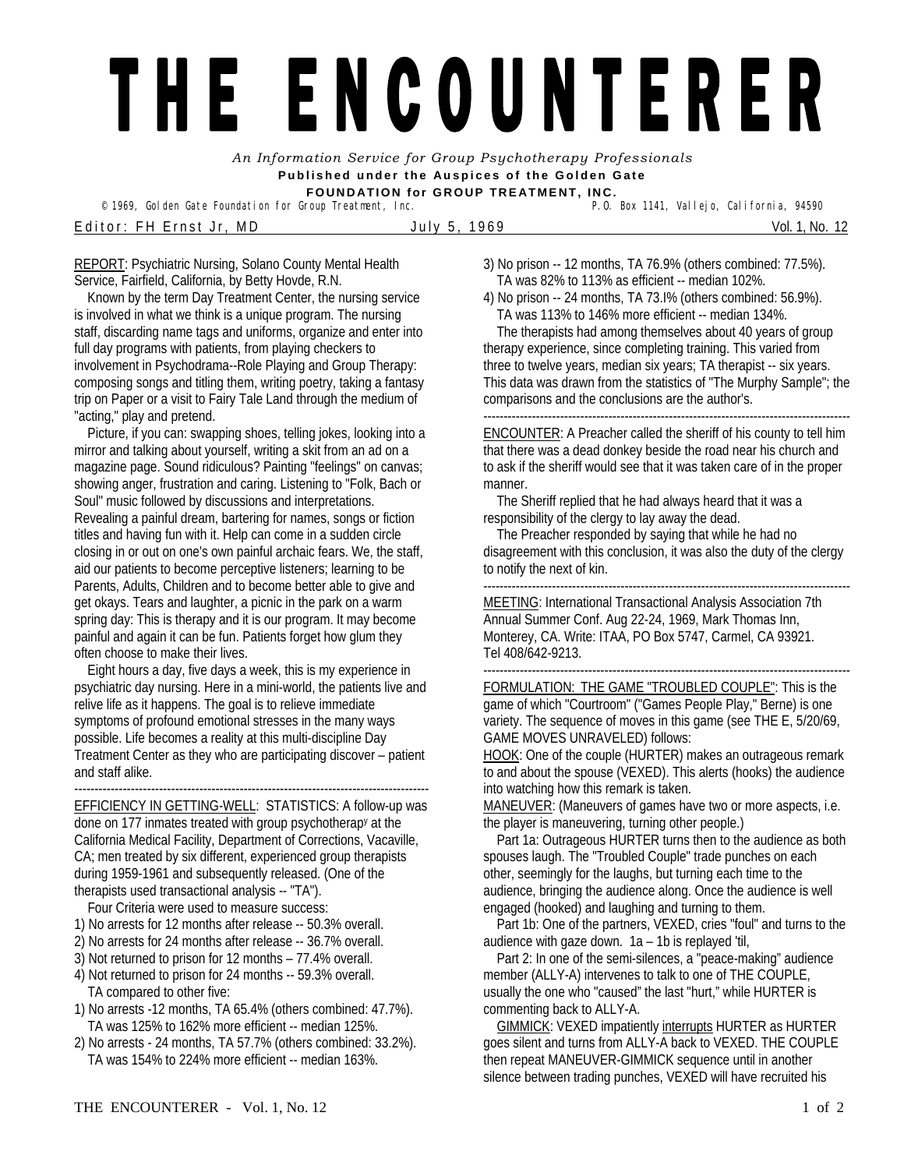## THE ENCOUNTERER

*An Information Service for Group Psychotherapy Professionals*  **Published under the Auspices of the Golden Gate FOUNDATION for GROUP TREATMENT, INC.** 

<sup>©</sup> 1969, Golden Gate Foundation for Group Treatment, Inc. E ditor: FH Ernst Jr, MD July 5, 1969 Vol. 1, No. 12

REPORT: Psychiatric Nursing, Solano County Mental Health

Service, Fairfield, California, by Betty Hovde, R.N. Known by the term Day Treatment Center, the nursing service is involved in what we think is a unique program. The nursing staff, discarding name tags and uniforms, organize and enter into full day programs with patients, from playing checkers to involvement in Psychodrama--Role Playing and Group Therapy: composing songs and titling them, writing poetry, taking a fantasy trip on Paper or a visit to Fairy Tale Land through the medium of "acting," play and pretend.

 Picture, if you can: swapping shoes, telling jokes, looking into a mirror and talking about yourself, writing a skit from an ad on a magazine page. Sound ridiculous? Painting "feelings" on canvas; showing anger, frustration and caring. Listening to "Folk, Bach or Soul" music followed by discussions and interpretations. Revealing a painful dream, bartering for names, songs or fiction titles and having fun with it. Help can come in a sudden circle closing in or out on one's own painful archaic fears. We, the staff, aid our patients to become perceptive listeners; learning to be Parents, Adults, Children and to become better able to give and get okays. Tears and laughter, a picnic in the park on a warm spring day: This is therapy and it is our program. It may become painful and again it can be fun. Patients forget how glum they often choose to make their lives.

 Eight hours a day, five days a week, this is my experience in psychiatric day nursing. Here in a mini-world, the patients live and relive life as it happens. The goal is to relieve immediate symptoms of profound emotional stresses in the many ways possible. Life becomes a reality at this multi-discipline Day Treatment Center as they who are participating discover – patient and staff alike.

----------------------------------------------------------------------------------------

EFFICIENCY IN GETTING-WELL: STATISTICS: A follow-up was done on 177 inmates treated with group psychotherapy at the California Medical Facility, Department of Corrections, Vacaville, CA; men treated by six different, experienced group therapists during 1959-1961 and subsequently released. (One of the therapists used transactional analysis -- "TA").

Four Criteria were used to measure success:

- 1) No arrests for 12 months after release -- 50.3% overall.
- 2) No arrests for 24 months after release -- 36.7% overall.
- 3) Not returned to prison for 12 months 77.4% overall.
- 4) Not returned to prison for 24 months -- 59.3% overall. TA compared to other five:
- 1) No arrests -12 months, TA 65.4% (others combined: 47.7%). TA was 125% to 162% more efficient -- median 125%.
- 2) No arrests 24 months, TA 57.7% (others combined: 33.2%). TA was 154% to 224% more efficient -- median 163%.
- 3) No prison -- 12 months, TA 76.9% (others combined: 77.5%). TA was 82% to 113% as efficient -- median 102%.
- 4) No prison -- 24 months, TA 73.I% (others combined: 56.9%). TA was 113% to 146% more efficient -- median 134%. The therapists had among themselves about 40 years of group therapy experience, since completing training. This varied from three to twelve years, median six years; TA therapist -- six years. This data was drawn from the statistics of "The Murphy Sample"; the comparisons and the conclusions are the author's.

------------------------------------------------------------------------------------------- ENCOUNTER: A Preacher called the sheriff of his county to tell him that there was a dead donkey beside the road near his church and to ask if the sheriff would see that it was taken care of in the proper manner.

 The Sheriff replied that he had always heard that it was a responsibility of the clergy to lay away the dead.

 The Preacher responded by saying that while he had no disagreement with this conclusion, it was also the duty of the clergy to notify the next of kin.

-------------------------------------------------------------------------------------------

MEETING: International Transactional Analysis Association 7th Annual Summer Conf. Aug 22-24, 1969, Mark Thomas Inn, Monterey, CA. Write: ITAA, PO Box 5747, Carmel, CA 93921. Tel 408/642-9213.

FORMULATION: THE GAME "TROUBLED COUPLE": This is the game of which "Courtroom" ("Games People Play," Berne) is one variety. The sequence of moves in this game (see THE E, 5/20/69, GAME MOVES UNRAVELED) follows:

HOOK: One of the couple (HURTER) makes an outrageous remark to and about the spouse (VEXED). This alerts (hooks) the audience into watching how this remark is taken.

MANEUVER: (Maneuvers of games have two or more aspects, i.e. the player is maneuvering, turning other people.)

 Part 1a: Outrageous HURTER turns then to the audience as both spouses laugh. The "Troubled Couple" trade punches on each other, seemingly for the laughs, but turning each time to the audience, bringing the audience along. Once the audience is well engaged (hooked) and laughing and turning to them.

 Part 1b: One of the partners, VEXED, cries "foul" and turns to the audience with gaze down.  $1a - 1b$  is replayed 'til,

 Part 2: In one of the semi-silences, a "peace-making" audience member (ALLY-A) intervenes to talk to one of THE COUPLE, usually the one who "caused" the last "hurt," while HURTER is commenting back to ALLY-A.

 GIMMICK: VEXED impatiently interrupts HURTER as HURTER goes silent and turns from ALLY-A back to VEXED. THE COUPLE then repeat MANEUVER-GIMMICK sequence until in another silence between trading punches, VEXED will have recruited his